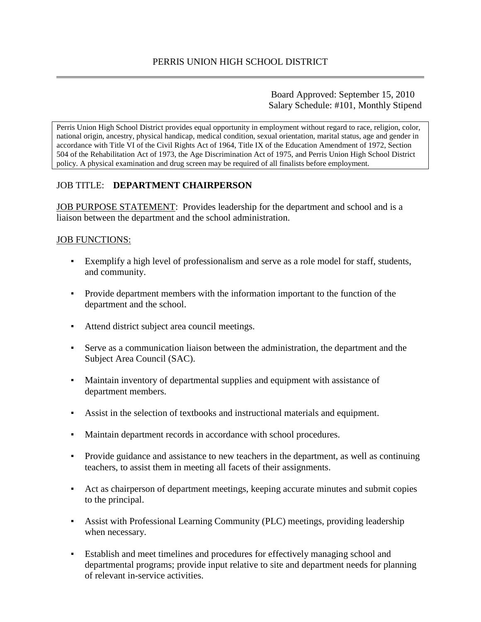Board Approved: September 15, 2010 Salary Schedule: #101, Monthly Stipend

Perris Union High School District provides equal opportunity in employment without regard to race, religion, color, national origin, ancestry, physical handicap, medical condition, sexual orientation, marital status, age and gender in accordance with Title VI of the Civil Rights Act of 1964, Title IX of the Education Amendment of 1972, Section 504 of the Rehabilitation Act of 1973, the Age Discrimination Act of 1975, and Perris Union High School District policy. A physical examination and drug screen may be required of all finalists before employment.

## JOB TITLE: **DEPARTMENT CHAIRPERSON**

JOB PURPOSE STATEMENT: Provides leadership for the department and school and is a liaison between the department and the school administration.

### JOB FUNCTIONS:

- Exemplify a high level of professionalism and serve as a role model for staff, students, and community.
- Provide department members with the information important to the function of the department and the school.
- Attend district subject area council meetings.
- Serve as a communication liaison between the administration, the department and the Subject Area Council (SAC).
- Maintain inventory of departmental supplies and equipment with assistance of department members.
- Assist in the selection of textbooks and instructional materials and equipment.
- Maintain department records in accordance with school procedures.
- Provide guidance and assistance to new teachers in the department, as well as continuing teachers, to assist them in meeting all facets of their assignments.
- Act as chairperson of department meetings, keeping accurate minutes and submit copies to the principal.
- Assist with Professional Learning Community (PLC) meetings, providing leadership when necessary.
- Establish and meet timelines and procedures for effectively managing school and departmental programs; provide input relative to site and department needs for planning of relevant in-service activities.